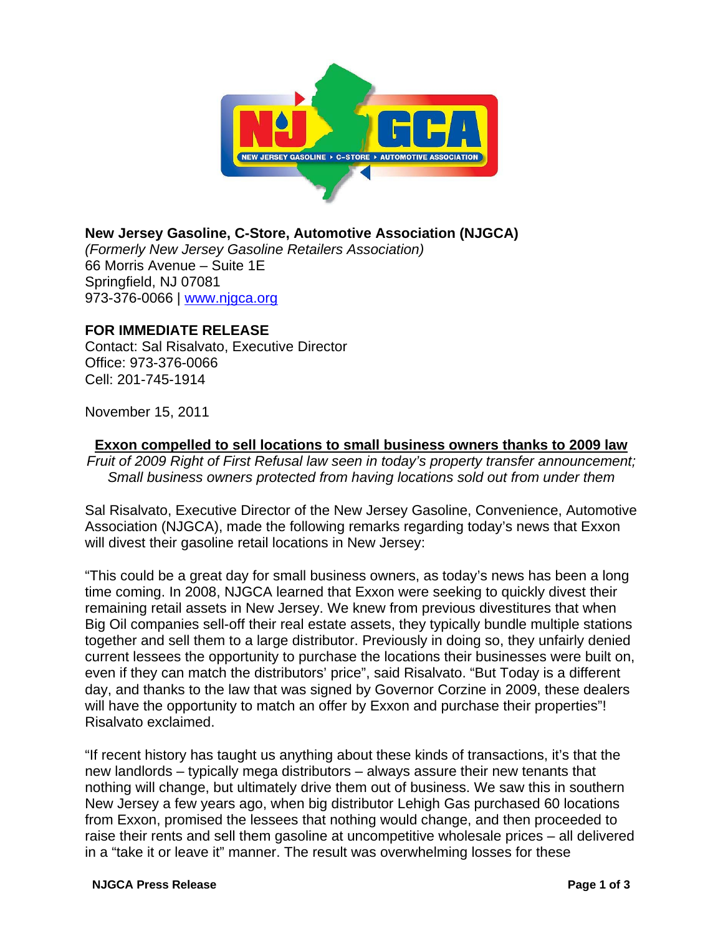

**New Jersey Gasoline, C-Store, Automotive Association (NJGCA)** *(Formerly New Jersey Gasoline Retailers Association)* 66 Morris Avenue – Suite 1E Springfield, NJ 07081 973-376-0066 | www.njgca.org

## **FOR IMMEDIATE RELEASE**

Contact: Sal Risalvato, Executive Director Office: 973-376-0066 Cell: 201-745-1914

November 15, 2011

**Exxon compelled to sell locations to small business owners thanks to 2009 law**

*Fruit of 2009 Right of First Refusal law seen in today's property transfer announcement; Small business owners protected from having locations sold out from under them*

Sal Risalvato, Executive Director of the New Jersey Gasoline, Convenience, Automotive Association (NJGCA), made the following remarks regarding today's news that Exxon will divest their gasoline retail locations in New Jersey:

"This could be a great day for small business owners, as today's news has been a long time coming. In 2008, NJGCA learned that Exxon were seeking to quickly divest their remaining retail assets in New Jersey. We knew from previous divestitures that when Big Oil companies sell-off their real estate assets, they typically bundle multiple stations together and sell them to a large distributor. Previously in doing so, they unfairly denied current lessees the opportunity to purchase the locations their businesses were built on, even if they can match the distributors' price", said Risalvato. "But Today is a different day, and thanks to the law that was signed by Governor Corzine in 2009, these dealers will have the opportunity to match an offer by Exxon and purchase their properties"! Risalvato exclaimed.

"If recent history has taught us anything about these kinds of transactions, it's that the new landlords – typically mega distributors – always assure their new tenants that nothing will change, but ultimately drive them out of business. We saw this in southern New Jersey a few years ago, when big distributor Lehigh Gas purchased 60 locations from Exxon, promised the lessees that nothing would change, and then proceeded to raise their rents and sell them gasoline at uncompetitive wholesale prices – all delivered in a "take it or leave it" manner. The result was overwhelming losses for these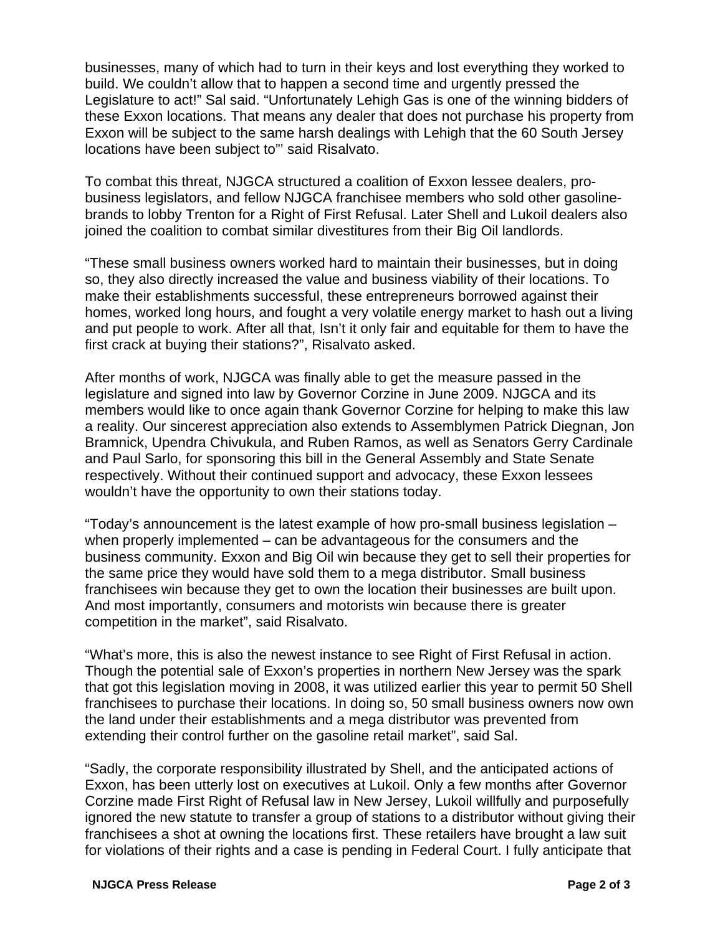businesses, many of which had to turn in their keys and lost everything they worked to build. We couldn't allow that to happen a second time and urgently pressed the Legislature to act!" Sal said. "Unfortunately Lehigh Gas is one of the winning bidders of these Exxon locations. That means any dealer that does not purchase his property from Exxon will be subject to the same harsh dealings with Lehigh that the 60 South Jersey locations have been subject to"' said Risalvato.

To combat this threat, NJGCA structured a coalition of Exxon lessee dealers, probusiness legislators, and fellow NJGCA franchisee members who sold other gasolinebrands to lobby Trenton for a Right of First Refusal. Later Shell and Lukoil dealers also joined the coalition to combat similar divestitures from their Big Oil landlords.

"These small business owners worked hard to maintain their businesses, but in doing so, they also directly increased the value and business viability of their locations. To make their establishments successful, these entrepreneurs borrowed against their homes, worked long hours, and fought a very volatile energy market to hash out a living and put people to work. After all that, Isn't it only fair and equitable for them to have the first crack at buying their stations?", Risalvato asked.

After months of work, NJGCA was finally able to get the measure passed in the legislature and signed into law by Governor Corzine in June 2009. NJGCA and its members would like to once again thank Governor Corzine for helping to make this law a reality. Our sincerest appreciation also extends to Assemblymen Patrick Diegnan, Jon Bramnick, Upendra Chivukula, and Ruben Ramos, as well as Senators Gerry Cardinale and Paul Sarlo, for sponsoring this bill in the General Assembly and State Senate respectively. Without their continued support and advocacy, these Exxon lessees wouldn't have the opportunity to own their stations today.

"Today's announcement is the latest example of how pro-small business legislation – when properly implemented – can be advantageous for the consumers and the business community. Exxon and Big Oil win because they get to sell their properties for the same price they would have sold them to a mega distributor. Small business franchisees win because they get to own the location their businesses are built upon. And most importantly, consumers and motorists win because there is greater competition in the market", said Risalvato.

"What's more, this is also the newest instance to see Right of First Refusal in action. Though the potential sale of Exxon's properties in northern New Jersey was the spark that got this legislation moving in 2008, it was utilized earlier this year to permit 50 Shell franchisees to purchase their locations. In doing so, 50 small business owners now own the land under their establishments and a mega distributor was prevented from extending their control further on the gasoline retail market", said Sal.

"Sadly, the corporate responsibility illustrated by Shell, and the anticipated actions of Exxon, has been utterly lost on executives at Lukoil. Only a few months after Governor Corzine made First Right of Refusal law in New Jersey, Lukoil willfully and purposefully ignored the new statute to transfer a group of stations to a distributor without giving their franchisees a shot at owning the locations first. These retailers have brought a law suit for violations of their rights and a case is pending in Federal Court. I fully anticipate that